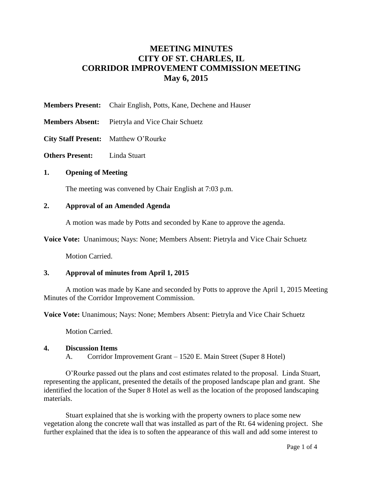# **MEETING MINUTES CITY OF ST. CHARLES, IL CORRIDOR IMPROVEMENT COMMISSION MEETING May 6, 2015**

- **Members Present:** Chair English, Potts, Kane, Dechene and Hauser
- **Members Absent:** Pietryla and Vice Chair Schuetz
- **City Staff Present:** Matthew O'Rourke
- **Others Present:** Linda Stuart

## **1. Opening of Meeting**

The meeting was convened by Chair English at 7:03 p.m.

## **2. Approval of an Amended Agenda**

A motion was made by Potts and seconded by Kane to approve the agenda.

**Voice Vote:** Unanimous; Nays: None; Members Absent: Pietryla and Vice Chair Schuetz

Motion Carried.

## **3. Approval of minutes from April 1, 2015**

A motion was made by Kane and seconded by Potts to approve the April 1, 2015 Meeting Minutes of the Corridor Improvement Commission.

**Voice Vote:** Unanimous; Nays: None; Members Absent: Pietryla and Vice Chair Schuetz

Motion Carried.

## **4. Discussion Items**

A. Corridor Improvement Grant – 1520 E. Main Street (Super 8 Hotel)

O'Rourke passed out the plans and cost estimates related to the proposal. Linda Stuart, representing the applicant, presented the details of the proposed landscape plan and grant. She identified the location of the Super 8 Hotel as well as the location of the proposed landscaping materials.

Stuart explained that she is working with the property owners to place some new vegetation along the concrete wall that was installed as part of the Rt. 64 widening project. She further explained that the idea is to soften the appearance of this wall and add some interest to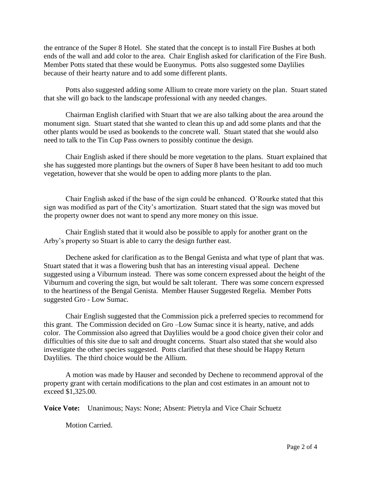the entrance of the Super 8 Hotel. She stated that the concept is to install Fire Bushes at both ends of the wall and add color to the area. Chair English asked for clarification of the Fire Bush. Member Potts stated that these would be Euonymus. Potts also suggested some Daylilies because of their hearty nature and to add some different plants.

Potts also suggested adding some Allium to create more variety on the plan. Stuart stated that she will go back to the landscape professional with any needed changes.

Chairman English clarified with Stuart that we are also talking about the area around the monument sign. Stuart stated that she wanted to clean this up and add some plants and that the other plants would be used as bookends to the concrete wall. Stuart stated that she would also need to talk to the Tin Cup Pass owners to possibly continue the design.

Chair English asked if there should be more vegetation to the plans. Stuart explained that she has suggested more plantings but the owners of Super 8 have been hesitant to add too much vegetation, however that she would be open to adding more plants to the plan.

Chair English asked if the base of the sign could be enhanced. O'Rourke stated that this sign was modified as part of the City's amortization. Stuart stated that the sign was moved but the property owner does not want to spend any more money on this issue.

Chair English stated that it would also be possible to apply for another grant on the Arby's property so Stuart is able to carry the design further east.

Dechene asked for clarification as to the Bengal Genista and what type of plant that was. Stuart stated that it was a flowering bush that has an interesting visual appeal. Dechene suggested using a Viburnum instead. There was some concern expressed about the height of the Viburnum and covering the sign, but would be salt tolerant. There was some concern expressed to the heartiness of the Bengal Genista. Member Hauser Suggested Regelia. Member Potts suggested Gro - Low Sumac.

Chair English suggested that the Commission pick a preferred species to recommend for this grant. The Commission decided on Gro –Low Sumac since it is hearty, native, and adds color. The Commission also agreed that Daylilies would be a good choice given their color and difficulties of this site due to salt and drought concerns. Stuart also stated that she would also investigate the other species suggested. Potts clarified that these should be Happy Return Daylilies. The third choice would be the Allium.

A motion was made by Hauser and seconded by Dechene to recommend approval of the property grant with certain modifications to the plan and cost estimates in an amount not to exceed \$1,325.00.

**Voice Vote:** Unanimous; Nays: None; Absent: Pietryla and Vice Chair Schuetz

Motion Carried.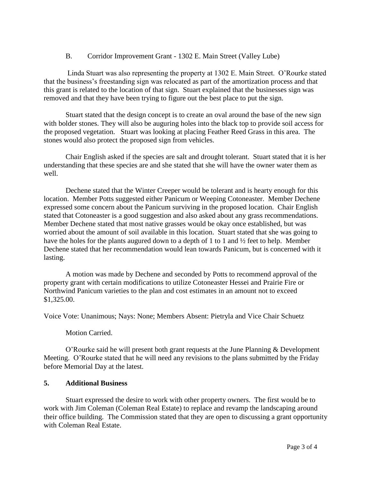## B. Corridor Improvement Grant - 1302 E. Main Street (Valley Lube)

Linda Stuart was also representing the property at 1302 E. Main Street. O'Rourke stated that the business's freestanding sign was relocated as part of the amortization process and that this grant is related to the location of that sign. Stuart explained that the businesses sign was removed and that they have been trying to figure out the best place to put the sign.

Stuart stated that the design concept is to create an oval around the base of the new sign with bolder stones. They will also be auguring holes into the black top to provide soil access for the proposed vegetation. Stuart was looking at placing Feather Reed Grass in this area. The stones would also protect the proposed sign from vehicles.

Chair English asked if the species are salt and drought tolerant. Stuart stated that it is her understanding that these species are and she stated that she will have the owner water them as well.

Dechene stated that the Winter Creeper would be tolerant and is hearty enough for this location. Member Potts suggested either Panicum or Weeping Cotoneaster. Member Dechene expressed some concern about the Panicum surviving in the proposed location. Chair English stated that Cotoneaster is a good suggestion and also asked about any grass recommendations. Member Dechene stated that most native grasses would be okay once established, but was worried about the amount of soil available in this location. Stuart stated that she was going to have the holes for the plants augured down to a depth of 1 to 1 and ½ feet to help. Member Dechene stated that her recommendation would lean towards Panicum, but is concerned with it lasting.

A motion was made by Dechene and seconded by Potts to recommend approval of the property grant with certain modifications to utilize Cotoneaster Hessei and Prairie Fire or Northwind Panicum varieties to the plan and cost estimates in an amount not to exceed \$1,325.00.

Voice Vote: Unanimous; Nays: None; Members Absent: Pietryla and Vice Chair Schuetz

## Motion Carried.

O'Rourke said he will present both grant requests at the June Planning & Development Meeting. O'Rourke stated that he will need any revisions to the plans submitted by the Friday before Memorial Day at the latest.

## **5. Additional Business**

Stuart expressed the desire to work with other property owners. The first would be to work with Jim Coleman (Coleman Real Estate) to replace and revamp the landscaping around their office building. The Commission stated that they are open to discussing a grant opportunity with Coleman Real Estate.